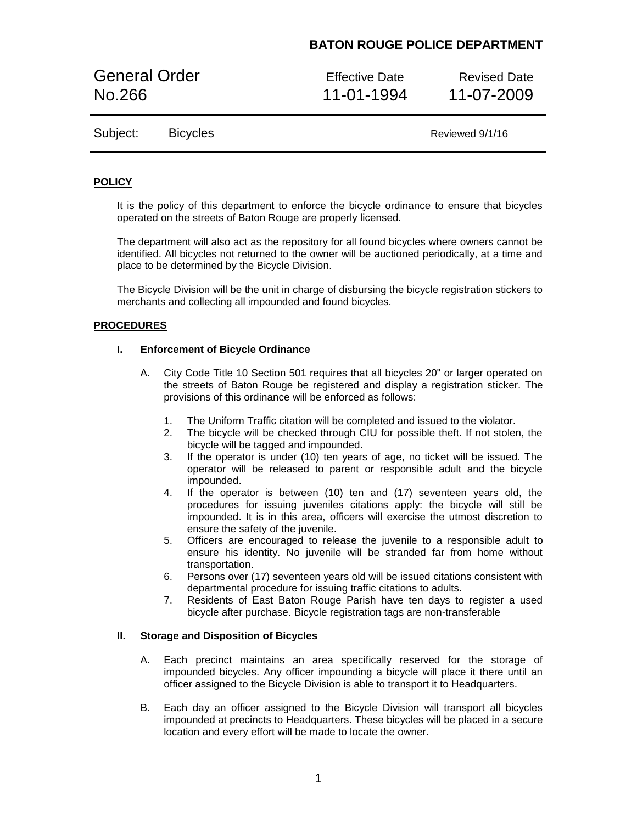# **BATON ROUGE POLICE DEPARTMENT**

General Order **Effective Date** Revised Date No.266 11-01-1994 11-07-2009

Subject: Bicycles **Reviewed 9/1/16** 

## **POLICY**

It is the policy of this department to enforce the bicycle ordinance to ensure that bicycles operated on the streets of Baton Rouge are properly licensed.

The department will also act as the repository for all found bicycles where owners cannot be identified. All bicycles not returned to the owner will be auctioned periodically, at a time and place to be determined by the Bicycle Division.

The Bicycle Division will be the unit in charge of disbursing the bicycle registration stickers to merchants and collecting all impounded and found bicycles.

## **PROCEDURES**

### **I. Enforcement of Bicycle Ordinance**

- A. City Code Title 10 Section 501 requires that all bicycles 20" or larger operated on the streets of Baton Rouge be registered and display a registration sticker. The provisions of this ordinance will be enforced as follows:
	- 1. The Uniform Traffic citation will be completed and issued to the violator.
	- 2. The bicycle will be checked through CIU for possible theft. If not stolen, the bicycle will be tagged and impounded.
	- 3. If the operator is under (10) ten years of age, no ticket will be issued. The operator will be released to parent or responsible adult and the bicycle impounded.
	- 4. If the operator is between (10) ten and (17) seventeen years old, the procedures for issuing juveniles citations apply: the bicycle will still be impounded. It is in this area, officers will exercise the utmost discretion to ensure the safety of the juvenile.
	- 5. Officers are encouraged to release the juvenile to a responsible adult to ensure his identity. No juvenile will be stranded far from home without transportation.
	- 6. Persons over (17) seventeen years old will be issued citations consistent with departmental procedure for issuing traffic citations to adults.
	- 7. Residents of East Baton Rouge Parish have ten days to register a used bicycle after purchase. Bicycle registration tags are non-transferable

### **II. Storage and Disposition of Bicycles**

- A. Each precinct maintains an area specifically reserved for the storage of impounded bicycles. Any officer impounding a bicycle will place it there until an officer assigned to the Bicycle Division is able to transport it to Headquarters.
- B. Each day an officer assigned to the Bicycle Division will transport all bicycles impounded at precincts to Headquarters. These bicycles will be placed in a secure location and every effort will be made to locate the owner.